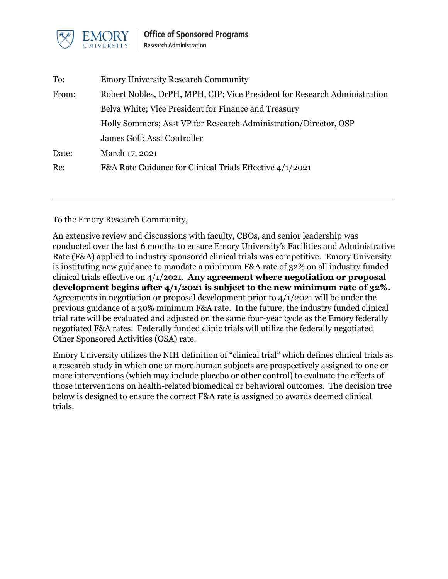

| To:   | <b>Emory University Research Community</b>                                |
|-------|---------------------------------------------------------------------------|
| From: | Robert Nobles, DrPH, MPH, CIP; Vice President for Research Administration |
|       | Belva White; Vice President for Finance and Treasury                      |
|       | Holly Sommers; Asst VP for Research Administration/Director, OSP          |
|       | James Goff; Asst Controller                                               |
| Date: | March 17, 2021                                                            |
| Re:   | F&A Rate Guidance for Clinical Trials Effective 4/1/2021                  |
|       |                                                                           |

To the Emory Research Community,

An extensive review and discussions with faculty, CBOs, and senior leadership was conducted over the last 6 months to ensure Emory University's Facilities and Administrative Rate (F&A) applied to industry sponsored clinical trials was competitive. Emory University is instituting new guidance to mandate a minimum F&A rate of 32% on all industry funded clinical trials effective on 4/1/2021. **Any agreement where negotiation or proposal development begins after 4/1/2021 is subject to the new minimum rate of 32%.**  Agreements in negotiation or proposal development prior to 4/1/2021 will be under the previous guidance of a 30% minimum F&A rate. In the future, the industry funded clinical trial rate will be evaluated and adjusted on the same four-year cycle as the Emory federally negotiated F&A rates. Federally funded clinic trials will utilize the federally negotiated Other Sponsored Activities (OSA) rate.

Emory University utilizes the NIH definition of "clinical trial" which defines clinical trials as a research study in which one or more human subjects are prospectively assigned to one or more interventions (which may include placebo or other control) to evaluate the effects of those interventions on health-related biomedical or behavioral outcomes. The decision tree below is designed to ensure the correct F&A rate is assigned to awards deemed clinical trials.